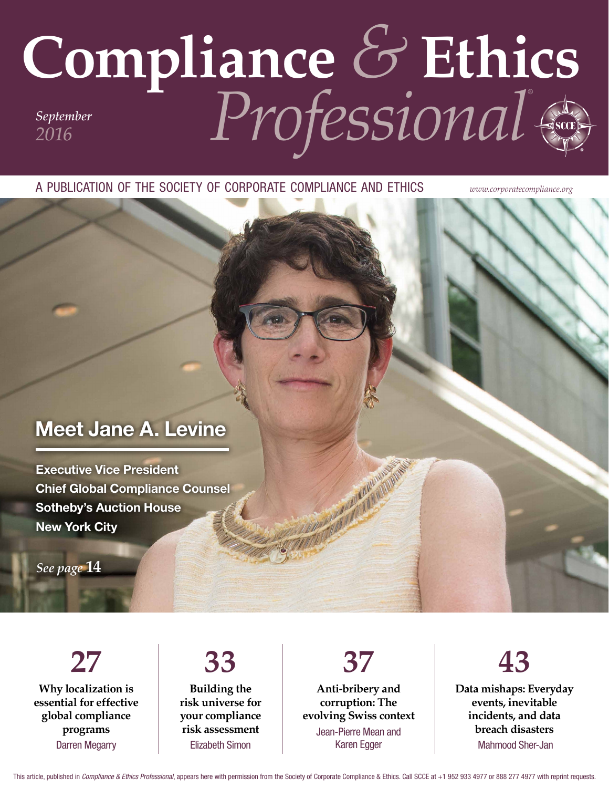## **Compliance** *&* **Ethics** *Professional® September 2016*

a publication of the society of corporate compliance and ethics *www.corporatecompliance.org*

### Meet Jane A. Levine

Executive Vice President Chief Global Compliance Counsel Sotheby's Auction House New York City

*See page* **14**

**27 Why localization is essential for effective global compliance programs** Darren Megarry

#### **33 Building the risk universe for your compliance risk assessment** Elizabeth Simon

**Anti-bribery and corruption: The evolving Swiss context** Jean-Pierre Mean and Karen Egger

**37**



**Data mishaps: Everyday events, inevitable incidents, and data breach disasters** Mahmood Sher-Jan

This article, published in *Compliance & Ethics Professional*, appears here with permission from the Society of Corporate Compliance & Ethics. Call SCCE at +1 952 933 4977 or 888 277 4977 with reprint requests.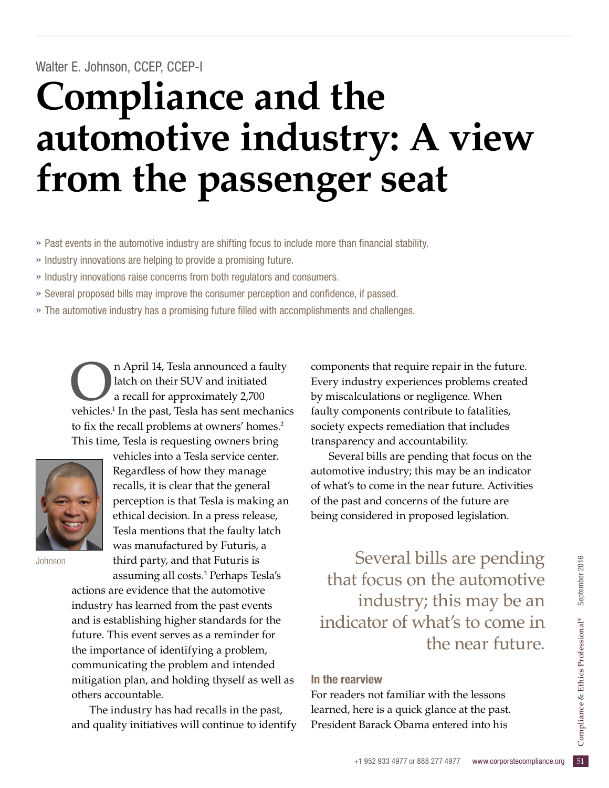# **Compliance and the automotive industry: A view from the passenger seat**

- » Past events in the automotive industry are shifting focus to include more than financial stability.
- » Industry innovations are helping to provide a promising future.
- » Industry innovations raise concerns from both regulators and consumers.
- » Several proposed bills may improve the consumer perception and confidence, if passed.
- » The automotive industry has a promising future filled with accomplishments and challenges.

n April 14, Tesla announced a faulty latch on their SUV and initiated a recall for approximately 2,700 vehicles.<sup>1</sup> In the past, Tesla has sent mechanics to fix the recall problems at owners' homes.<sup>2</sup> This time, Tesla is requesting owners bring



vehicles into a Tesla service center. Regardless of how they manage recalls, it is clear that the general perception is that Tesla is making an ethical decision. In a press release, Tesla mentions that the faulty latch was manufactured by Futuris, a third party, and that Futuris is

assuming all costs.3 Perhaps Tesla's actions are evidence that the automotive industry has learned from the past events and is establishing higher standards for the future. This event serves as a reminder for the importance of identifying a problem, communicating the problem and intended mitigation plan, and holding thyself as well as others accountable.

The industry has had recalls in the past, and quality initiatives will continue to identify components that require repair in the future. Every industry experiences problems created by miscalculations or negligence. When faulty components contribute to fatalities, society expects remediation that includes transparency and accountability.

Several bills are pending that focus on the automotive industry; this may be an indicator of what's to come in the near future. Activities of the past and concerns of the future are being considered in proposed legislation.

Johnson third party, and that Futuris is Several bills are pending that focus on the automotive industry; this may be an indicator of what's to come in the near future.

#### In the rearview

learned, here is a quick glance at the past.<br>President Barack Obama entered into his<br><sup>51</sup>Compliance org 51 For readers not familiar with the lessons President Barack Obama entered into his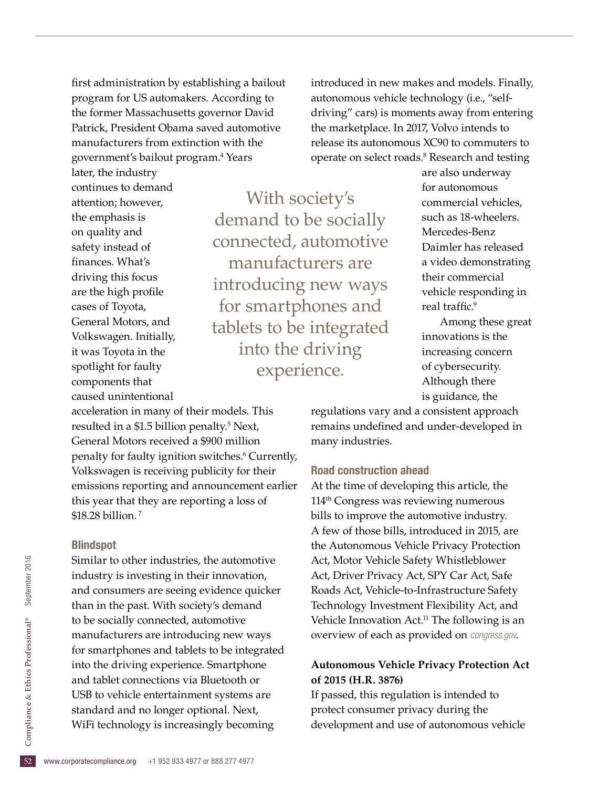first administration by establishing a bailout program for US automakers. According to the former Massachusetts governor David Patrick, President Obama saved automotive manufacturers from extinction with the government's bailout program.4 Years

introduced in new makes and models. Finally, autonomous vehicle technology (i.e., "selfdriving" cars) is moments away from entering the marketplace. In 2017, Volvo intends to release its autonomous XC90 to commuters to operate on select roads.<sup>8</sup> Research and testing

later, the industry continues to demand attention; however, the emphasis is on quality and safety instead of finances. What's driving this focus are the high profile cases of Toyota, General Motors, and Volkswagen. Initially, it was Toyota in the spotlight for faulty components that caused unintentional

With society's demand to be socially connected, automotive manufacturers are introducing new ways for smartphones and tablets to be integrated into the driving experience.

are also underway for autonomous commercial vehicles, such as 18-wheelers. Mercedes-Benz Daimler has released a video demonstrating their commercial vehicle responding in real traffic.<sup>9</sup>

Among these great innovations is the increasing concern of cybersecurity. Although there is guidance, the

acceleration in many of their models. This resulted in a \$1.5 billion penalty.<sup>5</sup> Next, General Motors received a \$900 million penalty for faulty ignition switches.<sup>6</sup> Currently, Volkswagen is receiving publicity for their emissions reporting and announcement earlier this year that they are reporting a loss of \$18.28 billion. 7

#### Blindspot

52 standard and no longer optional. Next,<br>
WiFi technology is increasingly becomi<br>
52 www.corporatecompliance.org +1 952 933 4977 or 888 277 4977 Similar to other industries, the automotive industry is investing in their innovation, and consumers are seeing evidence quicker than in the past. With society's demand to be socially connected, automotive manufacturers are introducing new ways for smartphones and tablets to be integrated into the driving experience. Smartphone and tablet connections via Bluetooth or USB to vehicle entertainment systems are WiFi technology is increasingly becoming

regulations vary and a consistent approach remains undefined and under-developed in many industries.

#### Road construction ahead

At the time of developing this article, the 114th Congress was reviewing numerous bills to improve the automotive industry. A few of those bills, introduced in 2015, are the Autonomous Vehicle Privacy Protection Act, Motor Vehicle Safety Whistleblower Act, Driver Privacy Act, SPY Car Act, Safe Roads Act, Vehicle-to-Infrastructure Safety Technology Investment Flexibility Act, and Vehicle Innovation Act.<sup>11</sup> The following is an overview of each as provided on *congress.gov*.

#### **Autonomous Vehicle Privacy Protection Act of 2015 (H.R. 3876)**

If passed, this regulation is intended to protect consumer privacy during the development and use of autonomous vehicle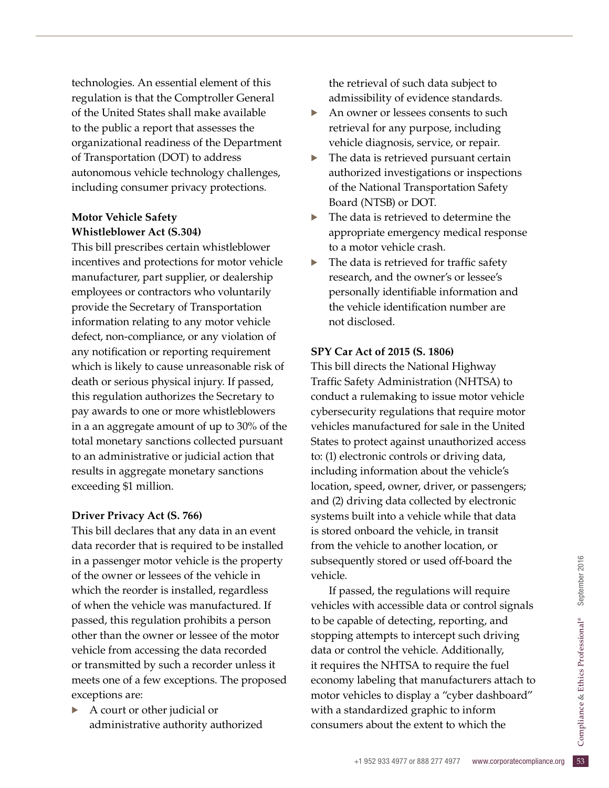technologies. An essential element of this regulation is that the Comptroller General of the United States shall make available to the public a report that assesses the organizational readiness of the Department of Transportation (DOT) to address autonomous vehicle technology challenges, including consumer privacy protections.

#### **Motor Vehicle Safety Whistleblower Act (S.304)**

This bill prescribes certain whistleblower incentives and protections for motor vehicle manufacturer, part supplier, or dealership employees or contractors who voluntarily provide the Secretary of Transportation information relating to any motor vehicle defect, non-compliance, or any violation of any notification or reporting requirement which is likely to cause unreasonable risk of death or serious physical injury. If passed, this regulation authorizes the Secretary to pay awards to one or more whistleblowers in a an aggregate amount of up to 30% of the total monetary sanctions collected pursuant to an administrative or judicial action that results in aggregate monetary sanctions exceeding \$1 million.

#### **Driver Privacy Act (S. 766)**

This bill declares that any data in an event data recorder that is required to be installed in a passenger motor vehicle is the property of the owner or lessees of the vehicle in which the reorder is installed, regardless of when the vehicle was manufactured. If passed, this regulation prohibits a person other than the owner or lessee of the motor vehicle from accessing the data recorded or transmitted by such a recorder unless it meets one of a few exceptions. The proposed exceptions are:

• A court or other judicial or administrative authority authorized the retrieval of such data subject to admissibility of evidence standards.

- · An owner or lessees consents to such retrieval for any purpose, including vehicle diagnosis, service, or repair.
- The data is retrieved pursuant certain authorized investigations or inspections of the National Transportation Safety Board (NTSB) or DOT.
- $\blacktriangleright$  The data is retrieved to determine the appropriate emergency medical response to a motor vehicle crash.
- The data is retrieved for traffic safety research, and the owner's or lessee's personally identifiable information and the vehicle identification number are not disclosed.

#### **SPY Car Act of 2015 (S. 1806)**

This bill directs the National Highway Traffic Safety Administration (NHTSA) to conduct a rulemaking to issue motor vehicle cybersecurity regulations that require motor vehicles manufactured for sale in the United States to protect against unauthorized access to: (1) electronic controls or driving data, including information about the vehicle's location, speed, owner, driver, or passengers; and (2) driving data collected by electronic systems built into a vehicle while that data is stored onboard the vehicle, in transit from the vehicle to another location, or subsequently stored or used off-board the vehicle.

andardized graphic to inform<br>
rs about the extent to which the<br>
+1 952 933 4977 or 888 277 4977 www.corporatecompliance.org 53 If passed, the regulations will require vehicles with accessible data or control signals to be capable of detecting, reporting, and stopping attempts to intercept such driving data or control the vehicle. Additionally, it requires the NHTSA to require the fuel economy labeling that manufacturers attach to motor vehicles to display a "cyber dashboard" with a standardized graphic to inform consumers about the extent to which the